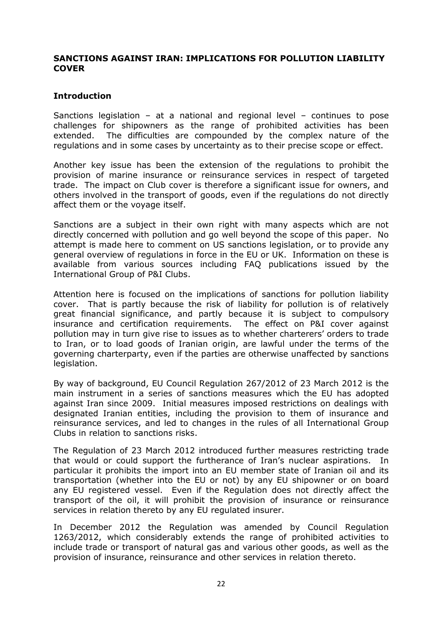### SANCTIONS AGAINST IRAN: IMPLICATIONS FOR POLLUTION LIABILITY **COVER**

### Introduction

Sanctions legislation – at a national and regional level – continues to pose challenges for shipowners as the range of prohibited activities has been extended. The difficulties are compounded by the complex nature of the regulations and in some cases by uncertainty as to their precise scope or effect.

Another key issue has been the extension of the regulations to prohibit the provision of marine insurance or reinsurance services in respect of targeted trade. The impact on Club cover is therefore a significant issue for owners, and others involved in the transport of goods, even if the regulations do not directly affect them or the voyage itself.

Sanctions are a subject in their own right with many aspects which are not directly concerned with pollution and go well beyond the scope of this paper. No attempt is made here to comment on US sanctions legislation, or to provide any general overview of regulations in force in the EU or UK. Information on these is available from various sources including FAQ publications issued by the International Group of P&I Clubs.

Attention here is focused on the implications of sanctions for pollution liability cover. That is partly because the risk of liability for pollution is of relatively great financial significance, and partly because it is subject to compulsory insurance and certification requirements. The effect on P&I cover against pollution may in turn give rise to issues as to whether charterers' orders to trade to Iran, or to load goods of Iranian origin, are lawful under the terms of the governing charterparty, even if the parties are otherwise unaffected by sanctions legislation.

By way of background, EU Council Regulation 267/2012 of 23 March 2012 is the main instrument in a series of sanctions measures which the EU has adopted against Iran since 2009. Initial measures imposed restrictions on dealings with designated Iranian entities, including the provision to them of insurance and reinsurance services, and led to changes in the rules of all International Group Clubs in relation to sanctions risks.

The Regulation of 23 March 2012 introduced further measures restricting trade that would or could support the furtherance of Iran's nuclear aspirations. In particular it prohibits the import into an EU member state of Iranian oil and its transportation (whether into the EU or not) by any EU shipowner or on board any EU registered vessel. Even if the Regulation does not directly affect the transport of the oil, it will prohibit the provision of insurance or reinsurance services in relation thereto by any EU regulated insurer.

In December 2012 the Regulation was amended by Council Regulation 1263/2012, which considerably extends the range of prohibited activities to include trade or transport of natural gas and various other goods, as well as the provision of insurance, reinsurance and other services in relation thereto.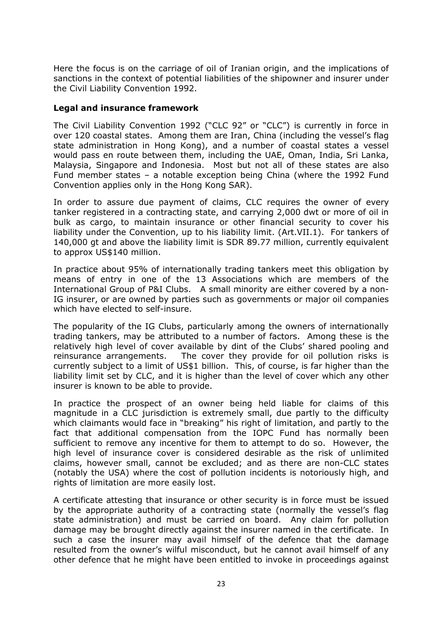Here the focus is on the carriage of oil of Iranian origin, and the implications of sanctions in the context of potential liabilities of the shipowner and insurer under the Civil Liability Convention 1992.

# Legal and insurance framework

The Civil Liability Convention 1992 ("CLC 92" or "CLC") is currently in force in over 120 coastal states. Among them are Iran, China (including the vessel's flag state administration in Hong Kong), and a number of coastal states a vessel would pass en route between them, including the UAE, Oman, India, Sri Lanka, Malaysia, Singapore and Indonesia. Most but not all of these states are also Fund member states – a notable exception being China (where the 1992 Fund Convention applies only in the Hong Kong SAR).

In order to assure due payment of claims, CLC requires the owner of every tanker registered in a contracting state, and carrying 2,000 dwt or more of oil in bulk as cargo, to maintain insurance or other financial security to cover his liability under the Convention, up to his liability limit. (Art.VII.1). For tankers of 140,000 gt and above the liability limit is SDR 89.77 million, currently equivalent to approx US\$140 million.

In practice about 95% of internationally trading tankers meet this obligation by means of entry in one of the 13 Associations which are members of the International Group of P&I Clubs. A small minority are either covered by a non-IG insurer, or are owned by parties such as governments or major oil companies which have elected to self-insure.

The popularity of the IG Clubs, particularly among the owners of internationally trading tankers, may be attributed to a number of factors. Among these is the relatively high level of cover available by dint of the Clubs' shared pooling and reinsurance arrangements. The cover they provide for oil pollution risks is currently subject to a limit of US\$1 billion. This, of course, is far higher than the liability limit set by CLC, and it is higher than the level of cover which any other insurer is known to be able to provide.

In practice the prospect of an owner being held liable for claims of this magnitude in a CLC jurisdiction is extremely small, due partly to the difficulty which claimants would face in "breaking" his right of limitation, and partly to the fact that additional compensation from the IOPC Fund has normally been sufficient to remove any incentive for them to attempt to do so. However, the high level of insurance cover is considered desirable as the risk of unlimited claims, however small, cannot be excluded; and as there are non-CLC states (notably the USA) where the cost of pollution incidents is notoriously high, and rights of limitation are more easily lost.

A certificate attesting that insurance or other security is in force must be issued by the appropriate authority of a contracting state (normally the vessel's flag state administration) and must be carried on board. Any claim for pollution damage may be brought directly against the insurer named in the certificate. In such a case the insurer may avail himself of the defence that the damage resulted from the owner's wilful misconduct, but he cannot avail himself of any other defence that he might have been entitled to invoke in proceedings against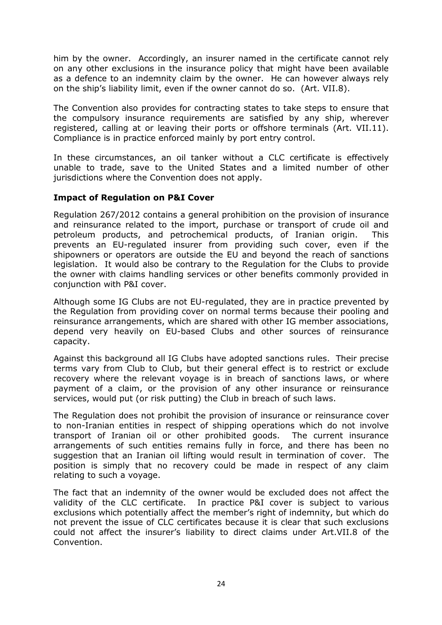him by the owner. Accordingly, an insurer named in the certificate cannot rely on any other exclusions in the insurance policy that might have been available as a defence to an indemnity claim by the owner. He can however always rely on the ship's liability limit, even if the owner cannot do so. (Art. VII.8).

The Convention also provides for contracting states to take steps to ensure that the compulsory insurance requirements are satisfied by any ship, wherever registered, calling at or leaving their ports or offshore terminals (Art. VII.11). Compliance is in practice enforced mainly by port entry control.

In these circumstances, an oil tanker without a CLC certificate is effectively unable to trade, save to the United States and a limited number of other jurisdictions where the Convention does not apply.

# Impact of Regulation on P&I Cover

Regulation 267/2012 contains a general prohibition on the provision of insurance and reinsurance related to the import, purchase or transport of crude oil and petroleum products, and petrochemical products, of Iranian origin. This prevents an EU-regulated insurer from providing such cover, even if the shipowners or operators are outside the EU and beyond the reach of sanctions legislation. It would also be contrary to the Regulation for the Clubs to provide the owner with claims handling services or other benefits commonly provided in conjunction with P&I cover.

Although some IG Clubs are not EU-regulated, they are in practice prevented by the Regulation from providing cover on normal terms because their pooling and reinsurance arrangements, which are shared with other IG member associations, depend very heavily on EU-based Clubs and other sources of reinsurance capacity.

Against this background all IG Clubs have adopted sanctions rules. Their precise terms vary from Club to Club, but their general effect is to restrict or exclude recovery where the relevant voyage is in breach of sanctions laws, or where payment of a claim, or the provision of any other insurance or reinsurance services, would put (or risk putting) the Club in breach of such laws.

The Regulation does not prohibit the provision of insurance or reinsurance cover to non-Iranian entities in respect of shipping operations which do not involve transport of Iranian oil or other prohibited goods. The current insurance arrangements of such entities remains fully in force, and there has been no suggestion that an Iranian oil lifting would result in termination of cover. The position is simply that no recovery could be made in respect of any claim relating to such a voyage.

The fact that an indemnity of the owner would be excluded does not affect the validity of the CLC certificate. In practice P&I cover is subject to various exclusions which potentially affect the member's right of indemnity, but which do not prevent the issue of CLC certificates because it is clear that such exclusions could not affect the insurer's liability to direct claims under Art.VII.8 of the Convention.